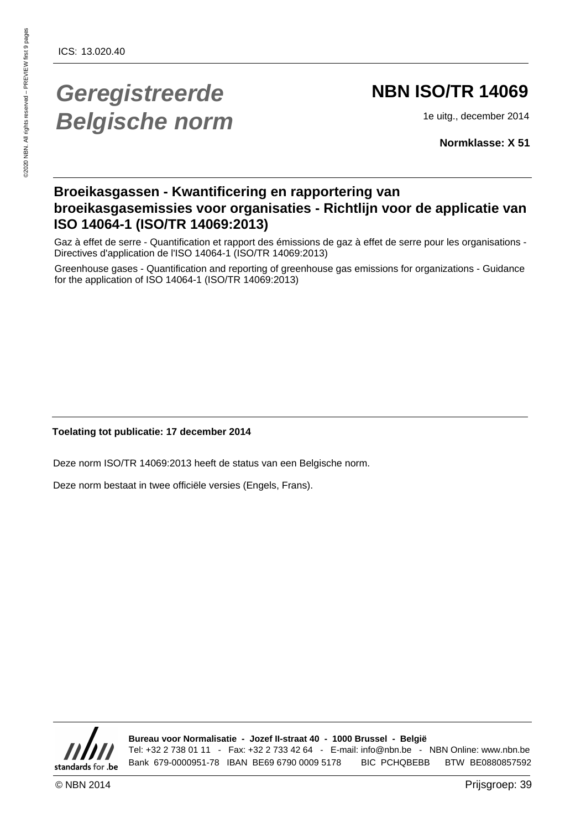# **Geregistreerde Belgische norm**

# **NBN ISO/TR 14069**

1e uitg., december 2014

**Normklasse: X 51**

### **Broeikasgassen - Kwantificering en rapportering van broeikasgasemissies voor organisaties - Richtlijn voor de applicatie van ISO 14064-1 (ISO/TR 14069:2013)**

Gaz à effet de serre - Quantification et rapport des émissions de gaz à effet de serre pour les organisations - Directives d'application de l'ISO 14064-1 (ISO/TR 14069:2013)

Greenhouse gases - Quantification and reporting of greenhouse gas emissions for organizations - Guidance for the application of ISO 14064-1 (ISO/TR 14069:2013)

### **Toelating tot publicatie: 17 december 2014**

Deze norm ISO/TR 14069:2013 heeft de status van een Belgische norm.

Deze norm bestaat in twee officiële versies (Engels, Frans).



**Bureau voor Normalisatie - Jozef II-straat 40 - 1000 Brussel - België** Tel: +32 2 738 01 11 - Fax: +32 2 733 42 64 - E-mail: info@nbn.be - NBN Online: www.nbn.be Bank 679-0000951-78 IBAN BE69 6790 0009 5178 BIC PCHQBEBB BTW BE0880857592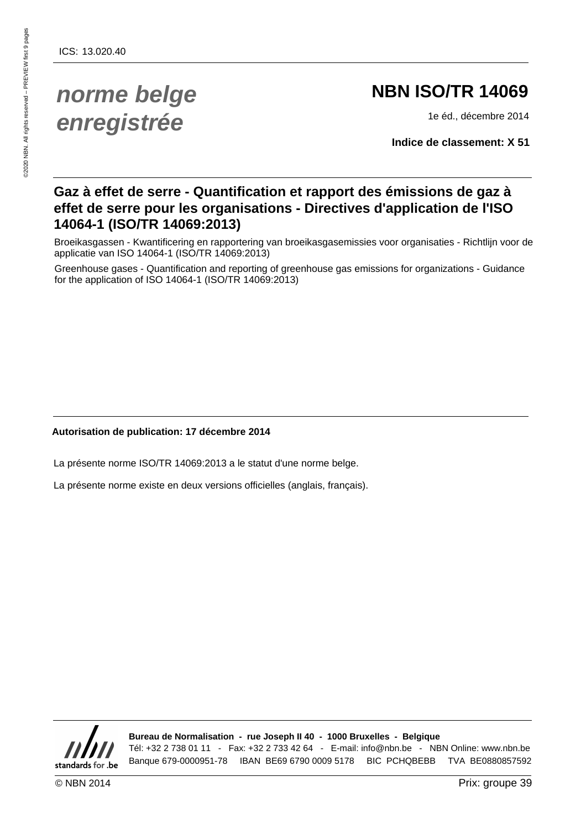# **norme belge enregistrée**

# **NBN ISO/TR 14069**

1e éd., décembre 2014

**Indice de classement: X 51**

### **Gaz à effet de serre - Quantification et rapport des émissions de gaz à effet de serre pour les organisations - Directives d'application de l'ISO 14064-1 (ISO/TR 14069:2013)**

Broeikasgassen - Kwantificering en rapportering van broeikasgasemissies voor organisaties - Richtlijn voor de applicatie van ISO 14064-1 (ISO/TR 14069:2013)

Greenhouse gases - Quantification and reporting of greenhouse gas emissions for organizations - Guidance for the application of ISO 14064-1 (ISO/TR 14069:2013)

### **Autorisation de publication: 17 décembre 2014**

La présente norme ISO/TR 14069:2013 a le statut d'une norme belge.

La présente norme existe en deux versions officielles (anglais, français).



**Bureau de Normalisation - rue Joseph II 40 - 1000 Bruxelles - Belgique** Tél: +32 2 738 01 11 - Fax: +32 2 733 42 64 - E-mail: info@nbn.be - NBN Online: www.nbn.be Banque 679-0000951-78 IBAN BE69 6790 0009 5178 BIC PCHQBEBB TVA BE0880857592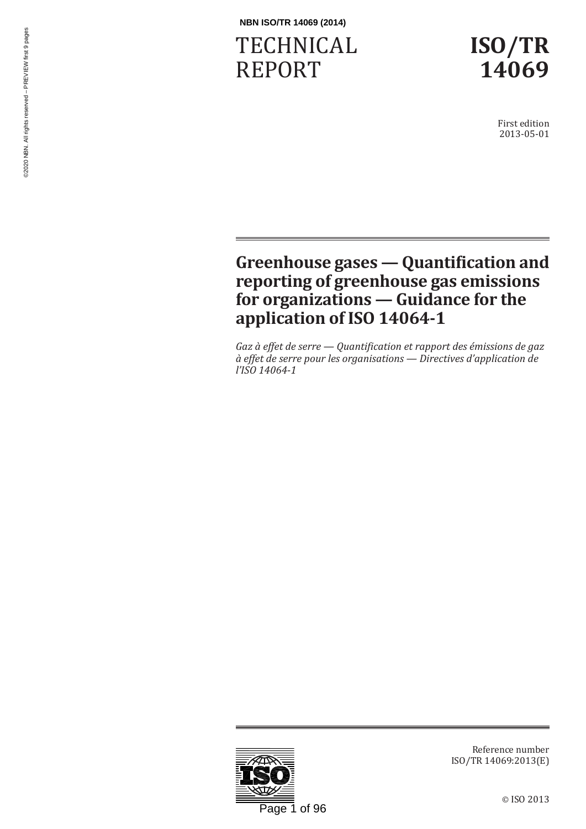# TECHNICAL REPORT



First edition 2013-05-01

# **Greenhouse gases — Quantification and reporting of greenhouse gas emissions for organizations — Guidance for the application of ISO 14064-1**

*Gaz à effet de serre — Quantification et rapport des émissions de gaz à effet de serre pour les organisations — Directives d'application de l'ISO 14064-1*



Reference number ISO/TR 14069:2013(E)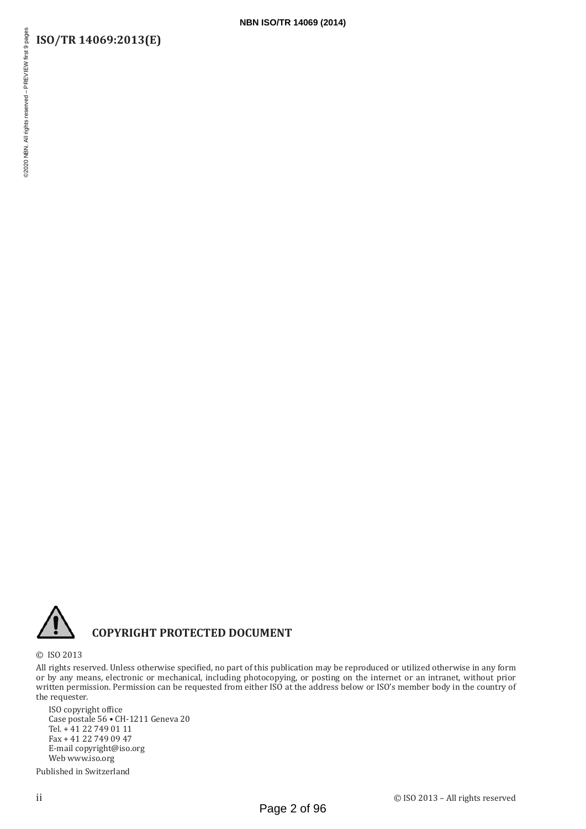## **ISO/TR 14069:2013(E)**



### **COPYRIGHT PROTECTED DOCUMENT**

© ISO 2013

All rights reserved. Unless otherwise specified, no part of this publication may be reproduced or utilized otherwise in any form or by any means, electronic or mechanical, including photocopying, or posting on the internet or an intranet, without prior written permission. Permission can be requested from either ISO at the address below or ISO's member body in the country of the requester.

**NBN ISO/TR 14069 (2014)**

ISO copyright office Case postale 56 • CH-1211 Geneva 20 Tel. + 41 22 749 01 11 Fax + 41 22 749 09 47 E-mail copyright@iso.org Web www.iso.org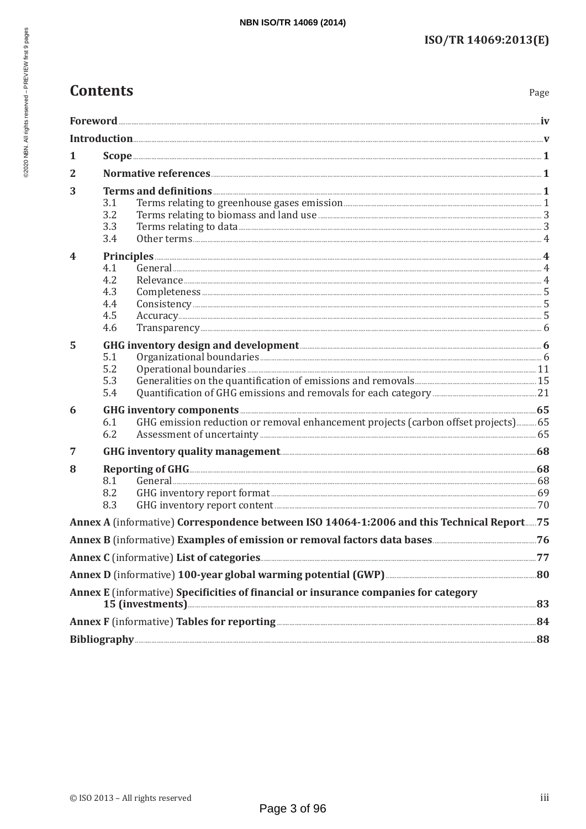| <b>Contents</b> |
|-----------------|
|-----------------|

Page

| 1                       |                                                                                                                                                                           |  |
|-------------------------|---------------------------------------------------------------------------------------------------------------------------------------------------------------------------|--|
| 2                       |                                                                                                                                                                           |  |
| 3                       | 3.1<br>3.2<br>Terms relating to biomass and land use <b>Manufacture 1996</b> 3<br>3.3<br>3.4                                                                              |  |
| $\overline{\mathbf{4}}$ | 4.1<br>4.2<br>4.3<br>4.4<br>4.5<br>4.6                                                                                                                                    |  |
| 5                       | 5.1<br>5.2<br>5.3<br>5.4                                                                                                                                                  |  |
| 6                       | GHG inventory components <b>Executive CHG</b> inventory components 65<br>GHG emission reduction or removal enhancement projects (carbon offset projects) 65<br>6.1<br>6.2 |  |
| 7                       |                                                                                                                                                                           |  |
| 8                       | Reporting of GHG<br>8.1<br>8.2<br>8.3                                                                                                                                     |  |
|                         | Annex A (informative) Correspondence between ISO 14064-1:2006 and this Technical Report75                                                                                 |  |
|                         |                                                                                                                                                                           |  |
|                         |                                                                                                                                                                           |  |
|                         |                                                                                                                                                                           |  |
|                         | Annex E (informative) Specificities of financial or insurance companies for category                                                                                      |  |
|                         |                                                                                                                                                                           |  |
|                         |                                                                                                                                                                           |  |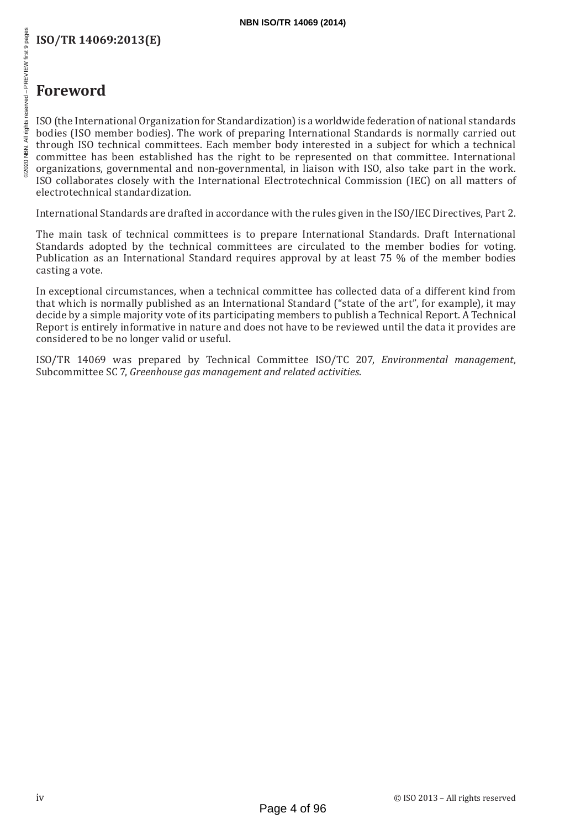# **ISO/TR 14069:2013(E)**

# 52020 NBN. All rights reserved - PREVIEW first 9 pages

# **Foreword**

ISO (the International Organization for Standardization) is a worldwide federation of national standards bodies (ISO member bodies). The work of preparing International Standards is normally carried out through ISO technical committees. Each member body interested in a subject for which a technical committee has been established has the right to be represented on that committee. International organizations, governmental and non-governmental, in liaison with ISO, also take part in the work. ISO collaborates closely with the International Electrotechnical Commission (IEC) on all matters of electrotechnical standardization.

International Standards are drafted in accordance with the rules given in the ISO/IEC Directives, Part 2.

The main task of technical committees is to prepare International Standards. Draft International Standards adopted by the technical committees are circulated to the member bodies for voting. Publication as an International Standard requires approval by at least 75 % of the member bodies casting a vote.

In exceptional circumstances, when a technical committee has collected data of a different kind from that which is normally published as an International Standard ("state of the art", for example), it may decide by a simple majority vote of its participating members to publish a Technical Report. A Technical Report is entirely informative in nature and does not have to be reviewed until the data it provides are considered to be no longer valid or useful.

ISO/TR 14069 was prepared by Technical Committee ISO/TC 207, *Environmental management*, Subcommittee SC 7, *Greenhouse gas management and related activities*.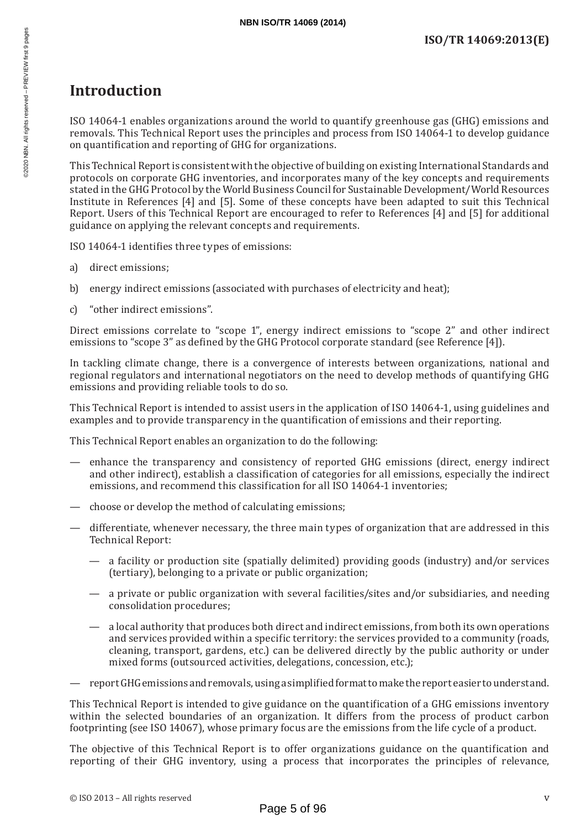# **Introduction**

ISO 14064-1 enables organizations around the world to quantify greenhouse gas (GHG) emissions and removals. This Technical Report uses the principles and process from ISO 14064-1 to develop guidance on quantification and reporting of GHG for organizations.

This Technical Report is consistent with the objective of building on existing International Standards and protocols on corporate GHG inventories, and incorporates many of the key concepts and requirements stated in the GHG Protocol by the World Business Council for Sustainable Development/World Resources Institute in References [4] and [5]. Some of these concepts have been adapted to suit this Technical Report. Users of this Technical Report are encouraged to refer to References [4] and [5] for additional guidance on applying the relevant concepts and requirements.

ISO 14064-1 identifies three types of emissions:

- a) direct emissions;
- b) energy indirect emissions (associated with purchases of electricity and heat);
- c) "other indirect emissions".

Direct emissions correlate to "scope 1", energy indirect emissions to "scope 2" and other indirect emissions to "scope 3" as defined by the GHG Protocol corporate standard (see Reference [4]).

In tackling climate change, there is a convergence of interests between organizations, national and regional regulators and international negotiators on the need to develop methods of quantifying GHG emissions and providing reliable tools to do so.

This Technical Report is intended to assist users in the application of ISO 14064-1, using guidelines and examples and to provide transparency in the quantification of emissions and their reporting.

This Technical Report enables an organization to do the following:

- enhance the transparency and consistency of reported GHG emissions (direct, energy indirect and other indirect), establish a classification of categories for all emissions, especially the indirect emissions, and recommend this classification for all ISO 14064-1 inventories;
- choose or develop the method of calculating emissions;
- differentiate, whenever necessary, the three main types of organization that are addressed in this Technical Report:
	- a facility or production site (spatially delimited) providing goods (industry) and/or services (tertiary), belonging to a private or public organization;
	- a private or public organization with several facilities/sites and/or subsidiaries, and needing consolidation procedures;
	- a local authority that produces both direct and indirect emissions, from both its own operations and services provided within a specific territory: the services provided to a community (roads, cleaning, transport, gardens, etc.) can be delivered directly by the public authority or under mixed forms (outsourced activities, delegations, concession, etc.);
- report GHG emissions and removals, using a simplified format to make the report easier to understand.

This Technical Report is intended to give guidance on the quantification of a GHG emissions inventory within the selected boundaries of an organization. It differs from the process of product carbon footprinting (see ISO 14067), whose primary focus are the emissions from the life cycle of a product.

The objective of this Technical Report is to offer organizations guidance on the quantification and reporting of their GHG inventory, using a process that incorporates the principles of relevance,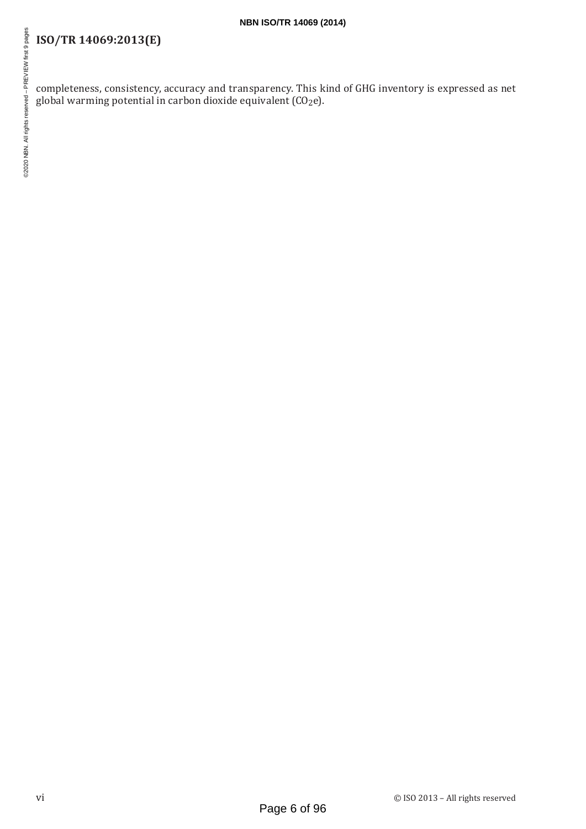# **ISO/TR 14069:2013(E)**

completeness, consistency, accuracy and transparency. This kind of GHG inventory is expressed as net global warming potential in carbon dioxide equivalent (CO2e).